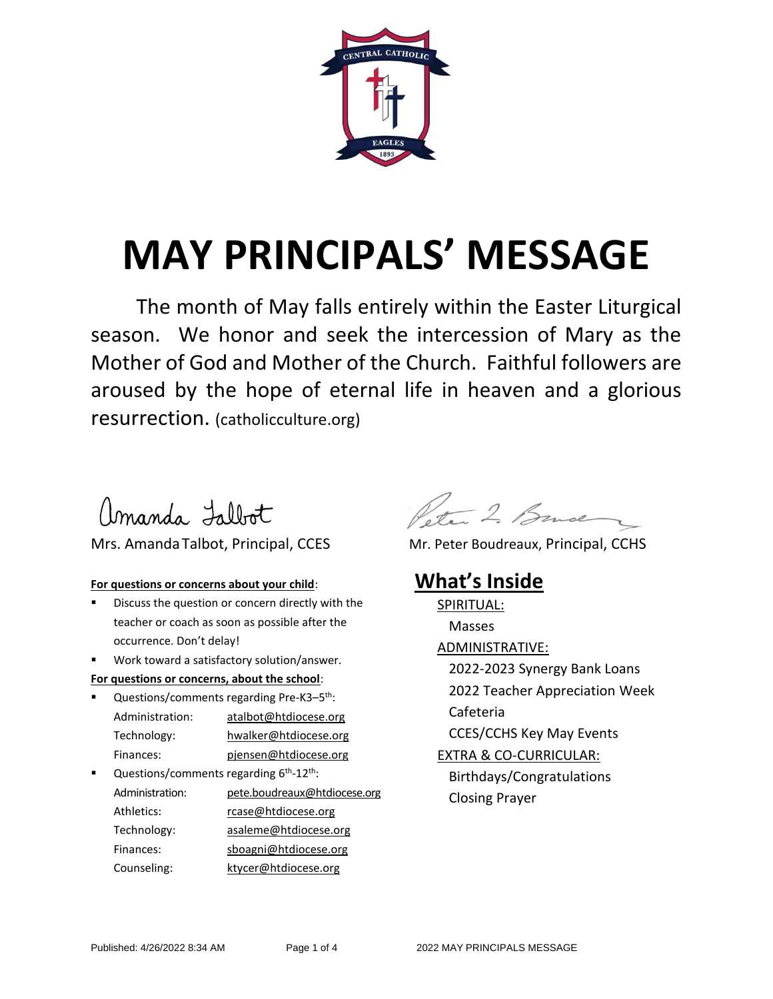

# **MAY PRINCIPALS' MESSAGE**

The month of May falls entirely within the Easter Liturgical season. We honor and seek the intercession of Mary as the Mother of God and Mother of the Church. Faithful followers are aroused by the hope of eternal life in heaven and a glorious resurrection. (catholicculture.org)

amanda Fillot

#### Mrs. Amanda Talbot, Principal, CCES Mr. Peter Boudreaux, Principal, CCHS

#### **For questions or concerns about your child**:

- Discuss the question or concern directly with the teacher or coach as soon as possible after the occurrence. Don't delay!
- Work toward a satisfactory solution/answer.

#### **For questions or concerns, about the school**:

- Questions/comments regarding Pre-K3-5<sup>th</sup>: Administration: [atalbot@htdiocese.org](mailto:atalbot@htdiocese.org) Technology: hwalker@htdiocese.org Finances: [pjensen@htdiocese.org](mailto:pjensen@htdiocese.org)
- Questions/comments regarding 6<sup>th</sup>-12<sup>th</sup>: Administration: [pete.boudreaux@htdiocese.org](mailto:pete.boudreaux@htdiocese.org) Athletics: [rcase@htdiocese.org](file://///ccs-fs1/Teachers/Stephanie%20Stanley/COMMUNICATION%20FILES/CENTRAL%20CATHOLIC%20DOCUMENTS/AppData/AppData/Local/Microsoft/Windows/AppData/Local/Microsoft/Windows/INetCache/Content.Outlook/V7ZAUY1S/rcase@htdiocese.org) Technology: [asaleme@htdiocese.org](mailto:asaleme@htdiocese.org) Finances: [sboagni@htdiocese.org](mailto:sboagni@htdiocese.org) Counseling: ktycer@htdiocese.org

Peter 2. Bruce

### **What's Inside**

SPIRITUAL: Masses ADMINISTRATIVE: 2022-2023 Synergy Bank Loans 2022 Teacher Appreciation Week Cafeteria CCES/CCHS Key May Events EXTRA & CO-CURRICULAR: Birthdays/Congratulations Closing Prayer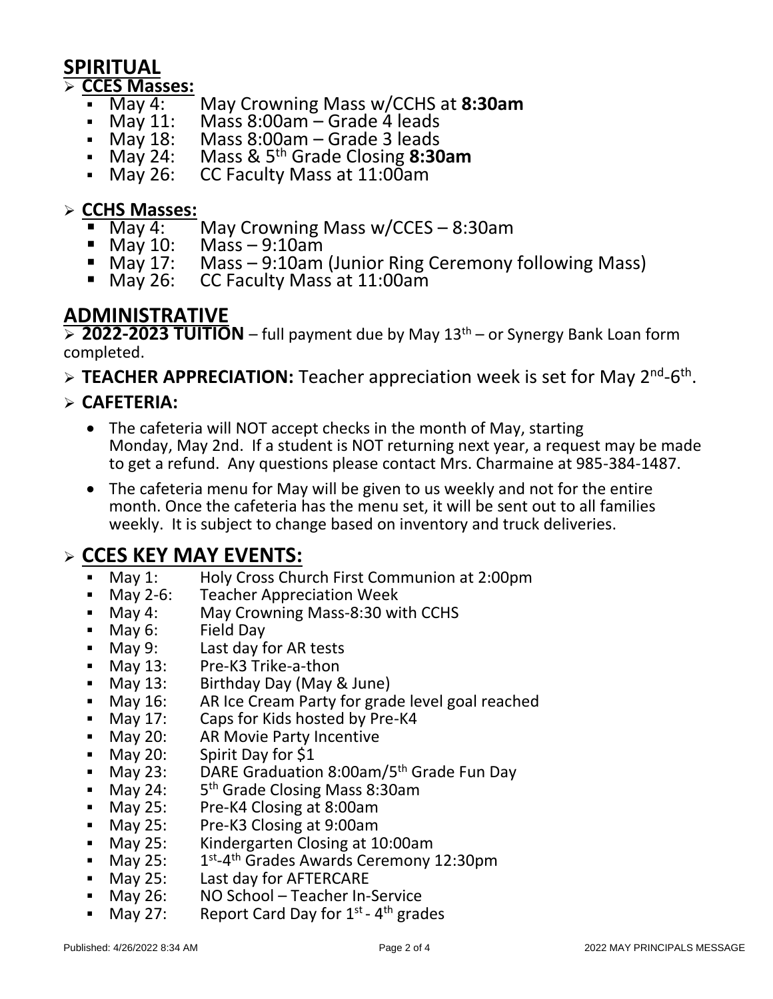## **SPIRITUAL**

# **ECCES Masses:**<br>• May 4:

- May 4: May Crowning Mass w/CCHS at **8:30am**
- Nay 11: Mass 8:00am Grade 4 leads<br>• May 18: Mass 8:00am Grade 3 leads
- May 18: Mass 8:00am Grade 3 leads<br>• May 24: Mass & 5<sup>th</sup> Grade Closing 8:30
- **May 24:** Mass & 5<sup>th</sup> Grade Closing **8:30am**<br>• May 26: CC Faculty Mass at 11:00am
- CC Faculty Mass at 11:00am

# **ECHS Masses:**<br>• May 4:

- May 4: May Crowning Mass w/CCES 8:30am<br>■ May 10: Mass 9:10am
- May 10: Mass 9:10am
- May 17: Mass 9:10am (Junior Ring Ceremony following Mass)<br>■ May 26: CC Faculty Mass at 11:00am
- CC Faculty Mass at 11:00am

### **ADMINISTRATIVE**

**≥ 2022-2023 TUITION** – full payment due by May 13<sup>th</sup> – or Synergy Bank Loan form completed.

> TEACHER APPRECIATION: Teacher appreciation week is set for May 2<sup>nd</sup>-6<sup>th</sup>.

#### **CAFETERIA:**

- The cafeteria will NOT accept checks in the month of May, starting Monday, May 2nd. If a student is NOT returning next year, a request may be made to get a refund. Any questions please contact Mrs. Charmaine at 985-384-1487.
- The cafeteria menu for May will be given to us weekly and not for the entire month. Once the cafeteria has the menu set, it will be sent out to all families weekly. It is subject to change based on inventory and truck deliveries.

### **CCES KEY MAY EVENTS:**

- May 1: Holy Cross Church First Communion at 2:00pm<br>• May 2-6: Teacher Appreciation Week
- May 2-6: Teacher Appreciation Week
- May 4: May Crowning Mass-8:30 with CCHS
- May 6: Field Day
- May 9: Last day for AR tests
- May 13: Pre-K3 Trike-a-thon
- 
- **May 13:** Birthday Day (May & June)<br>May 16: AR Ice Cream Party for grac AR Ice Cream Party for grade level goal reached
- **May 17:** Caps for Kids hosted by Pre-K4
- May 20: AR Movie Party Incentive
- May 20: Spirit Day for \$1
- May 23: DARE Graduation 8:00am/5<sup>th</sup> Grade Fun Day
- $-May 24:$ 5<sup>th</sup> Grade Closing Mass 8:30am
- **May 25:** Pre-K4 Closing at 8:00am<br>May 25: Pre-K3 Closing at 9:00am
- Pre-K3 Closing at 9:00am
- **May 25:** Kindergarten Closing at 10:00am
- $\blacksquare$  May 25: <sup>st</sup>-4<sup>th</sup> Grades Awards Ceremony 12:30pm
- May 25: Last day for AFTERCARE
- May 26: NO School Teacher In-Service
- May 27: Report Card Day for  $1^{st}$   $4^{th}$  grades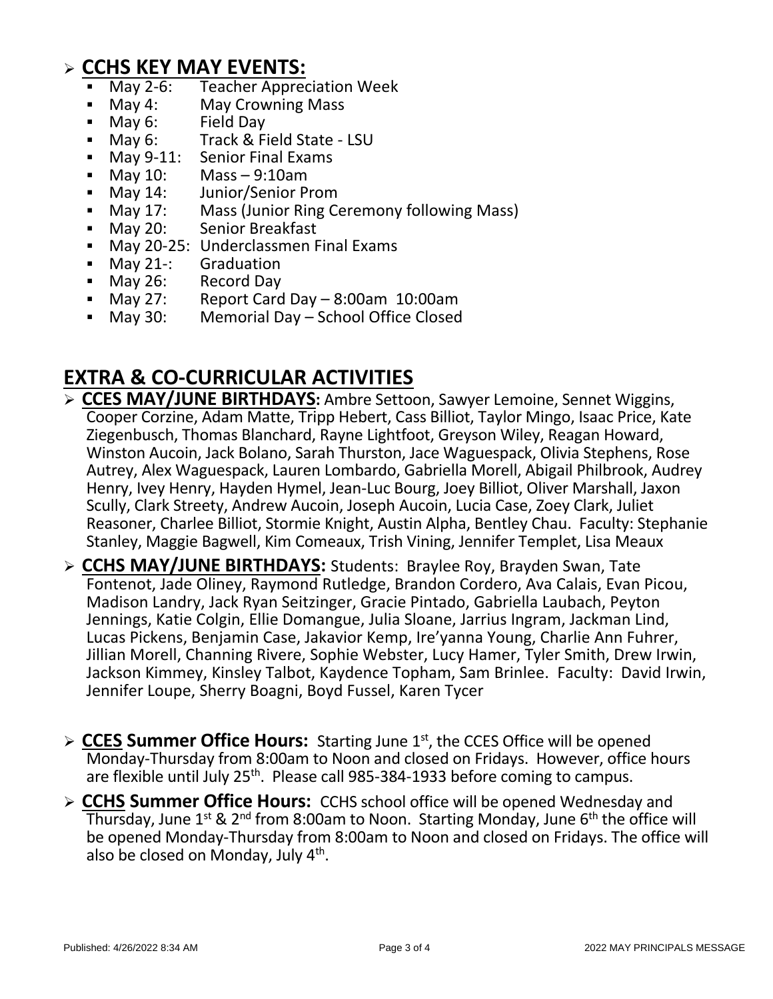# **CCHS KEY MAY EVENTS:**

- May 2-6: Teacher Appreciation Week<br>May 4: May Crowning Mass
- May 4: May Crowning Mass
- Nay 6: Field Day  **May 6: Field Day**<br>Nay 6: Frack & Fi
- **Nay 6: Track & Field State LSU**<br>**Nay 9-11:** Senior Final Exams
- May 9-11: Senior Final Exams
- $M$ May 10: Mass 9:10am
- May 14: Junior/Senior Prom
- May 17: Mass (Junior Ring Ceremony following Mass)<br>• May 20: Senior Breakfast
- May 20: Senior Breakfast
- **May 20-25: Underclassmen Final Exams**
- May 21-: Graduation
- May 26: Record Day<br>May 27: Report Card •
- Report Card Day  $8:00$ am  $10:00$ am
- May 30: Memorial Day School Office Closed

## **EXTRA & CO-CURRICULAR ACTIVITIES**

- **CCES MAY/JUNE BIRTHDAYS:** Ambre Settoon, Sawyer Lemoine, Sennet Wiggins, Cooper Corzine, Adam Matte, Tripp Hebert, Cass Billiot, Taylor Mingo, Isaac Price, Kate Ziegenbusch, Thomas Blanchard, Rayne Lightfoot, Greyson Wiley, Reagan Howard, Winston Aucoin, Jack Bolano, Sarah Thurston, Jace Waguespack, Olivia Stephens, Rose Autrey, Alex Waguespack, Lauren Lombardo, Gabriella Morell, Abigail Philbrook, Audrey Henry, Ivey Henry, Hayden Hymel, Jean-Luc Bourg, Joey Billiot, Oliver Marshall, Jaxon Scully, Clark Streety, Andrew Aucoin, Joseph Aucoin, Lucia Case, Zoey Clark, Juliet Reasoner, Charlee Billiot, Stormie Knight, Austin Alpha, Bentley Chau. Faculty: Stephanie Stanley, Maggie Bagwell, Kim Comeaux, Trish Vining, Jennifer Templet, Lisa Meaux
- **CCHS MAY/JUNE BIRTHDAYS:** Students: Braylee Roy, Brayden Swan, Tate Fontenot, Jade Oliney, Raymond Rutledge, Brandon Cordero, Ava Calais, Evan Picou, Madison Landry, Jack Ryan Seitzinger, Gracie Pintado, Gabriella Laubach, Peyton Jennings, Katie Colgin, Ellie Domangue, Julia Sloane, Jarrius Ingram, Jackman Lind, Lucas Pickens, Benjamin Case, Jakavior Kemp, Ire'yanna Young, Charlie Ann Fuhrer, Jillian Morell, Channing Rivere, Sophie Webster, Lucy Hamer, Tyler Smith, Drew Irwin, Jackson Kimmey, Kinsley Talbot, Kaydence Topham, Sam Brinlee. Faculty: David Irwin, Jennifer Loupe, Sherry Boagni, Boyd Fussel, Karen Tycer
- > CCES Summer Office Hours: Starting June 1<sup>st</sup>, the CCES Office will be opened Monday-Thursday from 8:00am to Noon and closed on Fridays. However, office hours are flexible until July 25<sup>th</sup>. Please call 985-384-1933 before coming to campus.
- **CCHS Summer Office Hours:** CCHS school office will be opened Wednesday and Thursday, June  $1^{st}$  &  $2^{nd}$  from 8:00am to Noon. Starting Monday, June  $6^{th}$  the office will be opened Monday-Thursday from 8:00am to Noon and closed on Fridays. The office will also be closed on Monday, July 4<sup>th</sup>.